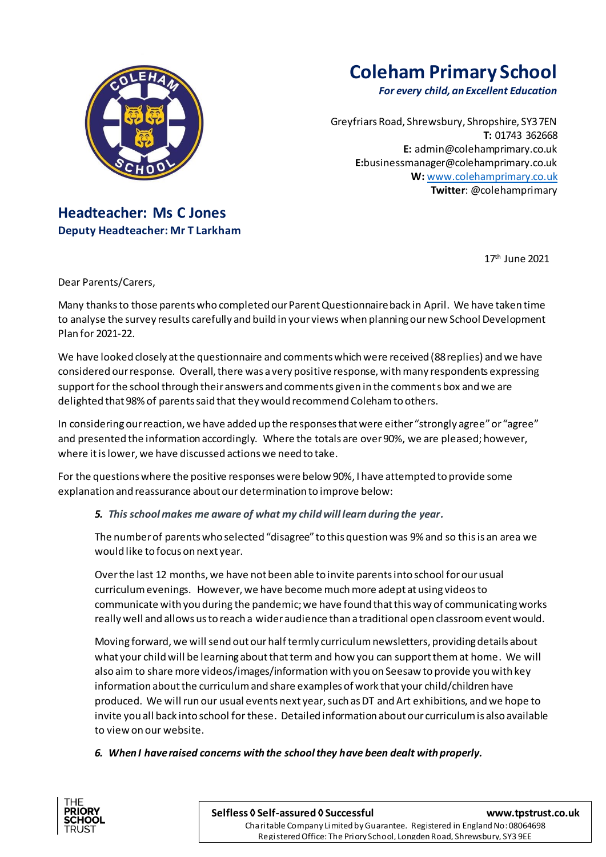

# **Coleham Primary School**

*For every child, an Excellent Education*

Greyfriars Road, Shrewsbury, Shropshire, SY3 7EN **T:** 01743 362668 **E:** [admin@colehamprimary.co.uk](mailto:admin@colehamprimary.co.uk) **E:**businessmanager@colehamprimary.co.uk **W:** [www.colehamprimary.co.uk](http://www.colehamprimary.co.uk/) **Twitter**: @colehamprimary

## **Headteacher: Ms C Jones Deputy Headteacher: Mr T Larkham**

17th June 2021

Dear Parents/Carers,

Many thanks to those parents who completed our Parent Questionnaire back in April. We have taken time to analyse the survey results carefully and build in your views when planning our new School Development Plan for 2021-22.

We have looked closely at the questionnaire and comments which were received (88replies) and we have considered our response. Overall, there was a very positive response, with many respondents expressing support for the school through their answers and comments given in the comments box and we are delighted that 98% of parents said that they would recommend Coleham to others.

In considering our reaction, we have added up the responses that were either "strongly agree" or "agree" and presented the information accordingly. Where the totals are over 90%, we are pleased; however, where it is lower, we have discussed actions we need to take.

For the questions where the positive responses were below 90%, I have attempted to provide some explanation and reassurance about our determination to improve below:

*5. This school makes me aware of what my child will learn during the year.*

The number of parents who selected "disagree" to this question was 9% and so this is an area we would like to focus on next year.

Over the last 12 months, we have not been able to invite parents into school for our usual curriculum evenings. However, we have become much more adept at using videos to communicate with you during the pandemic; we have found that this way of communicating works really well and allows us to reach a wider audience than a traditional open classroom event would.

Moving forward, we will send out our half termly curriculum newsletters, providing details about what your child will be learning about that term and how you can support them at home. We will also aim to share more videos/images/information with you on Seesaw to provide you with key information about the curriculum and share examples of work that your child/children have produced. We will run our usual events next year, such as DT and Art exhibitions, and we hope to invite you all back into school for these. Detailed information about our curriculum is also available to view on our website.

*6. When I have raised concerns with the school they have been dealt with properly.*



 Registered Office: The Priory School, Longden Road, Shrewsbury, SY3 9EE Charitable Company Limited by Guarantee. Registered in England No: 08064698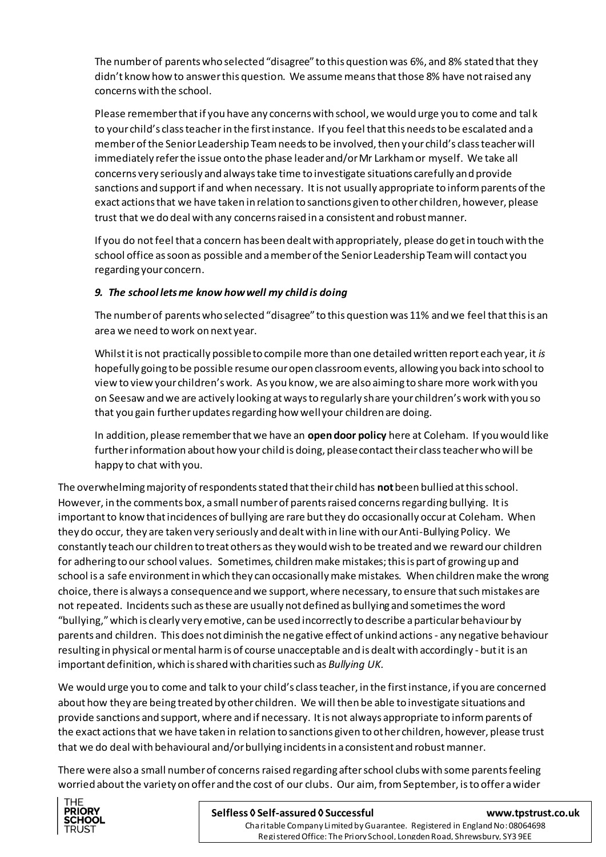The number of parents who selected "disagree" to this question was 6%, and 8% stated that they didn't know how to answer this question. We assume means that those 8% have not raised any concerns with the school.

Please remember thatif you have any concerns with school, we would urge you to come and tal k to your child's class teacherin the first instance. If you feel that this needs to be escalated and a member of the Senior Leadership Team needs to be involved, then your child's class teacher will immediately refer the issue onto the phase leader and/or Mr Larkham or myself. We take all concerns very seriously and always take time to investigate situations carefully and provide sanctions and support if and when necessary. It is not usually appropriate to inform parents of the exact actions that we have taken in relation to sanctions given to other children, however, please trust that we do deal with any concerns raised in a consistent and robust manner.

If you do not feel that a concern has been dealt with appropriately, please do get in touch with the school office as soon as possible and a member of the Senior Leadership Team will contact you regarding your concern.

### *9. The school lets me know how well my child is doing*

The number of parents who selected "disagree" to this question was 11% and we feel that this is an area we need to work on next year.

Whilst it is not practically possible to compile more than one detailed written report each year, it *is* hopefully going to be possible resume our open classroom events, allowing you back into school to view to view your children's work. As you know, we are also aiming to share more work with you on Seesaw and we are actively looking at ways to regularly share your children's work with you so that you gain further updates regarding how well your children are doing.

In addition, please remember that we have an **open door policy** here at Coleham. If you would like further information about how your child is doing, please contact their class teacher who will be happy to chat with you.

The overwhelming majority of respondents stated that their child has **not**been bullied at this school. However, in the comments box, a small number of parents raised concerns regarding bullying. Itis important to know that incidences of bullying are rare but they do occasionally occur at Coleham. When they do occur, they are taken very seriously and dealt with in line with our Anti-Bullying Policy. We constantly teach our children to treat others as they would wish to be treated and we reward our children for adhering to our school values. Sometimes, children make mistakes; this is part of growing up and school is a safe environment in which they can occasionally make mistakes. When children make the wrong choice, there is always a consequence and we support, where necessary, to ensure that such mistakes are not repeated. Incidents such as these are usually not defined as bullying and sometimes the word "bullying," which is clearly very emotive, can be used incorrectly to describe a particular behaviour by parents and children. This does not diminish the negative effect of unkind actions - any negative behaviour resulting in physical or mental harm is of course unacceptable and is dealt with accordingly - but it is an important definition, which is shared with charities such as *Bullying UK.*

We would urge you to come and talk to your child's class teacher, in the first instance, if you are concerned about how they are being treated by other children. We will then be able to investigate situations and provide sanctions and support, where and if necessary. It is not always appropriate to inform parents of the exact actions that we have taken in relation to sanctions given to other children, however, please trust that we do deal with behavioural and/or bullying incidents in a consistent and robust manner.

There were also a small number of concerns raised regarding after school clubs with some parents feeling worried about the variety on offer and the cost of our clubs. Our aim, from September, is to offer a wider



#### **Selfless ◊ Self-assured ◊ Successful [www.tpstrust.co.uk](http://www.tpstrust.co.uk/)**

 Registered Office: The Priory School, Longden Road, Shrewsbury, SY3 9EE Charitable Company Limited by Guarantee. Registered in England No: 08064698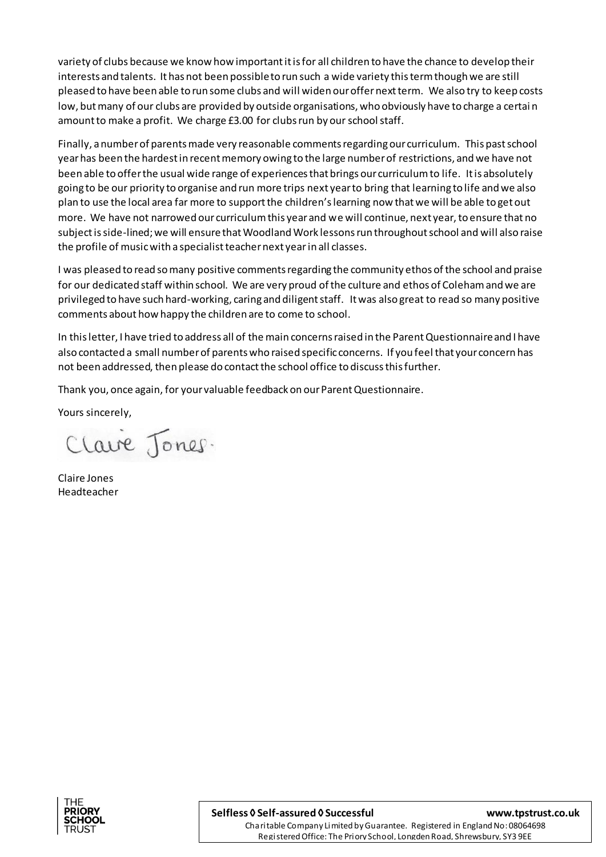variety of clubs because we know how important it is for all children to have the chance to develop their interests and talents. It has not been possible to run such a wide variety this term though we are still pleased to have been able to run some clubs and will widen our offer next term. We also try to keep costs low, but many of our clubs are provided by outside organisations, who obviously have to charge a certai n amount to make a profit. We charge £3.00 for clubs run by our school staff.

Finally, a number of parents made very reasonable comments regarding our curriculum. This past school year has been the hardest in recent memory owing to the large number of restrictions, and we have not been able to offer the usual wide range of experiences that brings our curriculum to life. It is absolutely going to be our priority to organise and run more trips next year to bring that learning to life and we also plan to use the local area far more to support the children's learning now that we will be able to get out more. We have not narrowed our curriculum this year and we will continue, next year, to ensure that no subject is side-lined; we will ensure that Woodland Work lessons run throughout school and will also raise the profile of music with a specialist teacher next yearin all classes.

I was pleased to read so many positive comments regarding the community ethos of the school and praise for our dedicated staff within school. We are very proud of the culture and ethos of Coleham and we are privileged to have such hard-working, caring and diligent staff. It was also great to read so many positive comments about how happy the children are to come to school.

In this letter, I have tried to address all of the main concerns raised in the Parent Questionnaire and I have also contacted a small number of parents who raised specific concerns. If you feel that your concern has not been addressed, then please do contact the school office to discuss this further.

Thank you, once again, for your valuable feedback on our Parent Questionnaire.

Yours sincerely,

Clave Jones.

Claire Jones Headteacher



 Registered Office: The Priory School, Longden Road, Shrewsbury, SY3 9EE Charitable Company Limited by Guarantee. Registered in England No: 08064698